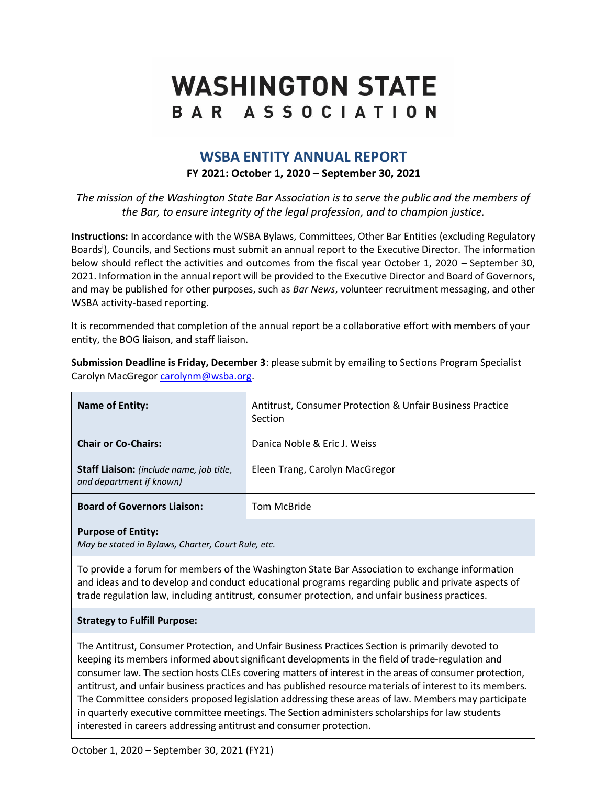# **WASHINGTON STATE** BAR ASSOCIATION

# **WSBA ENTITY ANNUAL REPORT FY 2021: October 1, 2020 – September 30, 2021**

*The mission of the Washington State Bar Association is to serve the public and the members of the Bar, to ensure integrity of the legal profession, and to champion justice.*

**Instructions:** In accordance with the WSBA Bylaws, Committees, Other Bar Entities (excluding Regulatory Boards<sup>i</sup>), Councils, and Sections must submit an annual report to the Executive Director. The information below should reflect the activities and outcomes from the fiscal year October 1, 2020 – September 30, 2021. Information in the annual report will be provided to the Executive Director and Board of Governors, and may be published for other purposes, such as *Bar News*, volunteer recruitment messaging, and other WSBA activity-based reporting.

It is recommended that completion of the annual report be a collaborative effort with members of your entity, the BOG liaison, and staff liaison.

| <b>Name of Entity:</b>                                               | <b>Antitrust, Consumer Protection &amp; Unfair Business Practice</b><br>Section |
|----------------------------------------------------------------------|---------------------------------------------------------------------------------|
| <b>Chair or Co-Chairs:</b>                                           | Danica Noble & Eric J. Weiss                                                    |
| Staff Liaison: (include name, job title,<br>and department if known) | Eleen Trang, Carolyn MacGregor                                                  |
| <b>Board of Governors Liaison:</b>                                   | Tom McBride                                                                     |
| <b>Purpose of Entity:</b>                                            |                                                                                 |

**Submission Deadline is Friday, December 3**: please submit by emailing to Sections Program Specialist Carolyn MacGregor [carolynm@wsba.org.](mailto:carolynm@wsba.org)

**Purpose of Entity:** 

*May be stated in Bylaws, Charter, Court Rule, etc.*

To provide a forum for members of the Washington State Bar Association to exchange information and ideas and to develop and conduct educational programs regarding public and private aspects of trade regulation law, including antitrust, consumer protection, and unfair business practices.

#### **Strategy to Fulfill Purpose:**

The Antitrust, Consumer Protection, and Unfair Business Practices Section is primarily devoted to keeping its members informed about significant developments in the field of trade-regulation and consumer law. The section hosts CLEs covering matters of interest in the areas of consumer protection, antitrust, and unfair business practices and has published resource materials of interest to its members. The Committee considers proposed legislation addressing these areas of law. Members may participate in quarterly executive committee meetings. The Section administers scholarships for law students interested in careers addressing antitrust and consumer protection.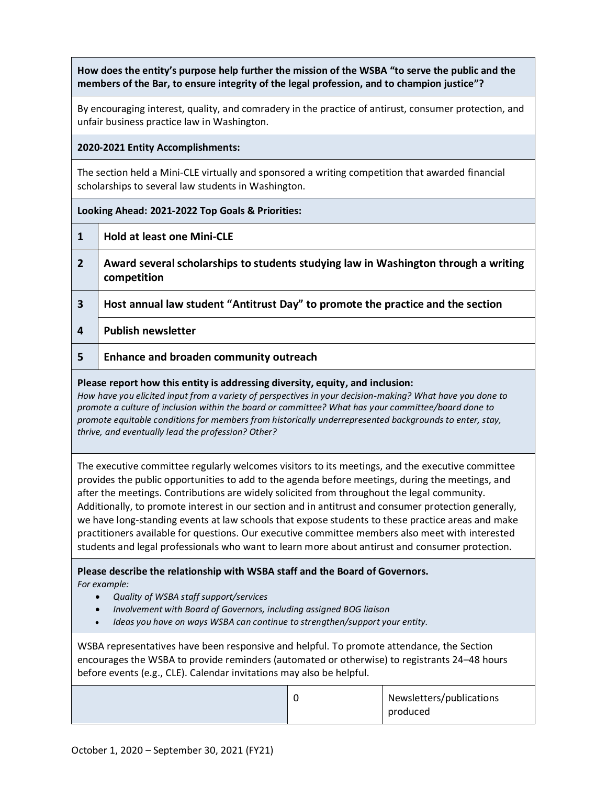**How does the entity's purpose help further the mission of the WSBA "to serve the public and the members of the Bar, to ensure integrity of the legal profession, and to champion justice"?**

By encouraging interest, quality, and comradery in the practice of antirust, consumer protection, and unfair business practice law in Washington.

### **2020-2021 Entity Accomplishments:**

The section held a Mini-CLE virtually and sponsored a writing competition that awarded financial scholarships to several law students in Washington.

## **Looking Ahead: 2021-2022 Top Goals & Priorities:**

- **1 Hold at least one Mini-CLE**
- **2 Award several scholarships to students studying law in Washington through a writing competition**
- **3 Host annual law student "Antitrust Day" to promote the practice and the section**
- **4 Publish newsletter**
- **5 Enhance and broaden community outreach**

#### **Please report how this entity is addressing diversity, equity, and inclusion:**

*How have you elicited input from a variety of perspectives in your decision-making? What have you done to promote a culture of inclusion within the board or committee? What has your committee/board done to promote equitable conditions for members from historically underrepresented backgrounds to enter, stay, thrive, and eventually lead the profession? Other?*

The executive committee regularly welcomes visitors to its meetings, and the executive committee provides the public opportunities to add to the agenda before meetings, during the meetings, and after the meetings. Contributions are widely solicited from throughout the legal community. Additionally, to promote interest in our section and in antitrust and consumer protection generally, we have long-standing events at law schools that expose students to these practice areas and make practitioners available for questions. Our executive committee members also meet with interested students and legal professionals who want to learn more about antirust and consumer protection.

**Please describe the relationship with WSBA staff and the Board of Governors.**  *For example:* 

- *Quality of WSBA staff support/services*
- *Involvement with Board of Governors, including assigned BOG liaison*
- *Ideas you have on ways WSBA can continue to strengthen/support your entity.*

WSBA representatives have been responsive and helpful. To promote attendance, the Section encourages the WSBA to provide reminders (automated or otherwise) to registrants 24–48 hours before events (e.g., CLE). Calendar invitations may also be helpful.

|  | Newsletters/publications |
|--|--------------------------|
|  | produced                 |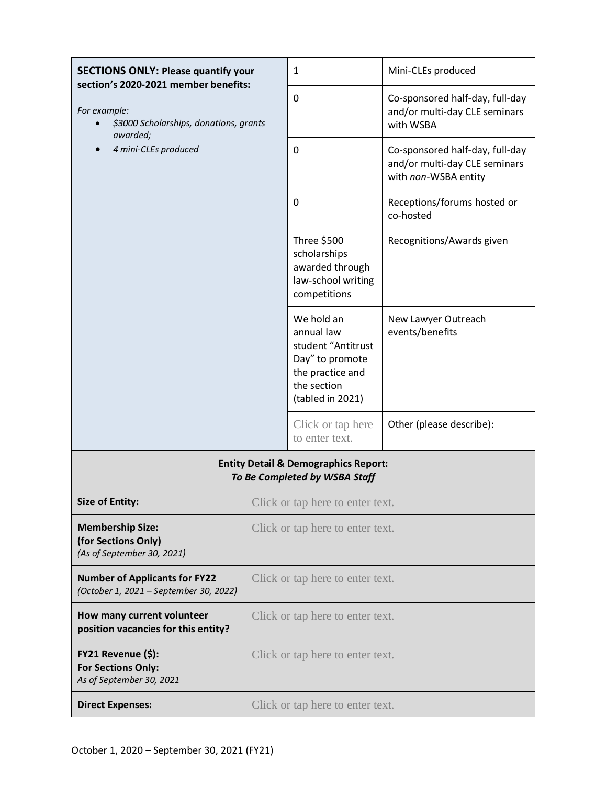| <b>SECTIONS ONLY: Please quantify your</b><br>section's 2020-2021 member benefits:<br>For example:<br>\$3000 Scholarships, donations, grants<br>awarded;<br>4 mini-CLEs produced |                                  | $\mathbf{1}$                                                                                                             | Mini-CLEs produced                                                                       |  |  |  |
|----------------------------------------------------------------------------------------------------------------------------------------------------------------------------------|----------------------------------|--------------------------------------------------------------------------------------------------------------------------|------------------------------------------------------------------------------------------|--|--|--|
|                                                                                                                                                                                  |                                  | 0                                                                                                                        | Co-sponsored half-day, full-day<br>and/or multi-day CLE seminars<br>with WSBA            |  |  |  |
|                                                                                                                                                                                  |                                  | $\mathbf 0$                                                                                                              | Co-sponsored half-day, full-day<br>and/or multi-day CLE seminars<br>with non-WSBA entity |  |  |  |
|                                                                                                                                                                                  |                                  | 0                                                                                                                        | Receptions/forums hosted or<br>co-hosted                                                 |  |  |  |
|                                                                                                                                                                                  |                                  | Three \$500<br>scholarships<br>awarded through<br>law-school writing<br>competitions                                     | Recognitions/Awards given                                                                |  |  |  |
|                                                                                                                                                                                  |                                  | We hold an<br>annual law<br>student "Antitrust<br>Day" to promote<br>the practice and<br>the section<br>(tabled in 2021) | New Lawyer Outreach<br>events/benefits                                                   |  |  |  |
|                                                                                                                                                                                  |                                  | Click or tap here<br>to enter text.                                                                                      | Other (please describe):                                                                 |  |  |  |
| <b>Entity Detail &amp; Demographics Report:</b><br>To Be Completed by WSBA Staff                                                                                                 |                                  |                                                                                                                          |                                                                                          |  |  |  |
| Size of Entity:                                                                                                                                                                  |                                  | Click or tap here to enter text.                                                                                         |                                                                                          |  |  |  |
| <b>Membership Size:</b><br>(for Sections Only)<br>(As of September 30, 2021)                                                                                                     | Click or tap here to enter text. |                                                                                                                          |                                                                                          |  |  |  |
| <b>Number of Applicants for FY22</b><br>(October 1, 2021 - September 30, 2022)                                                                                                   | Click or tap here to enter text. |                                                                                                                          |                                                                                          |  |  |  |
| How many current volunteer<br>position vacancies for this entity?                                                                                                                | Click or tap here to enter text. |                                                                                                                          |                                                                                          |  |  |  |
| FY21 Revenue (\$):<br><b>For Sections Only:</b><br>As of September 30, 2021                                                                                                      | Click or tap here to enter text. |                                                                                                                          |                                                                                          |  |  |  |
| <b>Direct Expenses:</b>                                                                                                                                                          | Click or tap here to enter text. |                                                                                                                          |                                                                                          |  |  |  |
|                                                                                                                                                                                  |                                  |                                                                                                                          |                                                                                          |  |  |  |